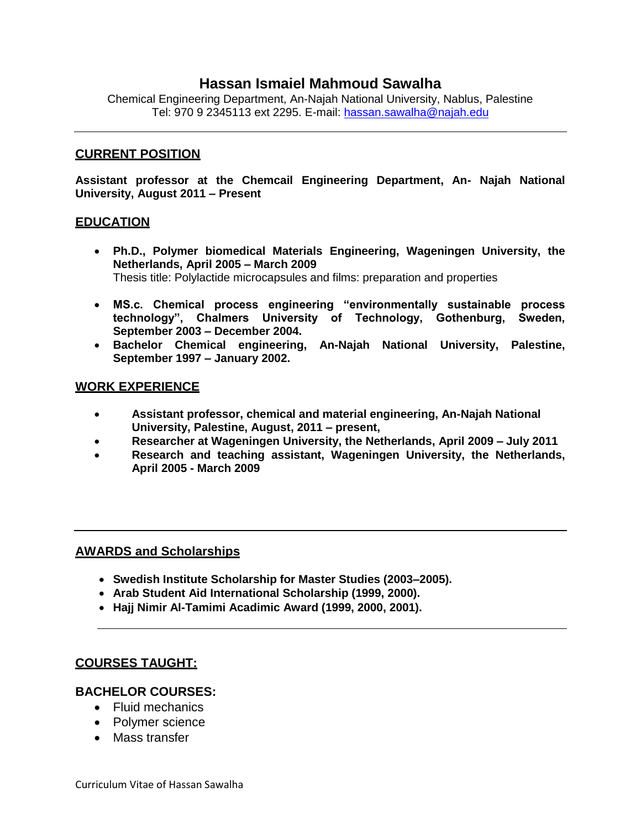## **Hassan Ismaiel Mahmoud Sawalha**

Chemical Engineering Department, An-Najah National University, Nablus, Palestine Tel: 970 9 2345113 ext 2295. E-mail: [hassan.sawalha@najah.edu](mailto:hassan.sawalha@najah.edu)

#### **CURRENT POSITION**

**Assistant professor at the Chemcail Engineering Department, An- Najah National University, August 2011 – Present**

#### **EDUCATION**

- **Ph.D., Polymer biomedical Materials Engineering, Wageningen University, the Netherlands, April 2005 – March 2009** Thesis title: Polylactide microcapsules and films: preparation and properties
- **MS.c. Chemical process engineering "environmentally sustainable process technology", Chalmers University of Technology, Gothenburg, Sweden, September 2003 – December 2004.**
- **Bachelor Chemical engineering, An-Najah National University, Palestine, September 1997 – January 2002.**

#### **WORK EXPERIENCE**

- **Assistant professor, chemical and material engineering, An-Najah National University, Palestine, August, 2011 – present,**
- **Researcher at Wageningen University, the Netherlands, April 2009 – July 2011**
- **Research and teaching assistant, Wageningen University, the Netherlands, April 2005 - March 2009**

#### **AWARDS and Scholarships**

- **Swedish Institute Scholarship for Master Studies (2003–2005).**
- **Arab Student Aid International Scholarship (1999, 2000).**
- **Hajj Nimir Al-Tamimi Acadimic Award (1999, 2000, 2001).**

#### **COURSES TAUGHT:**

#### **BACHELOR COURSES:**

- Fluid mechanics
- Polymer science
- Mass transfer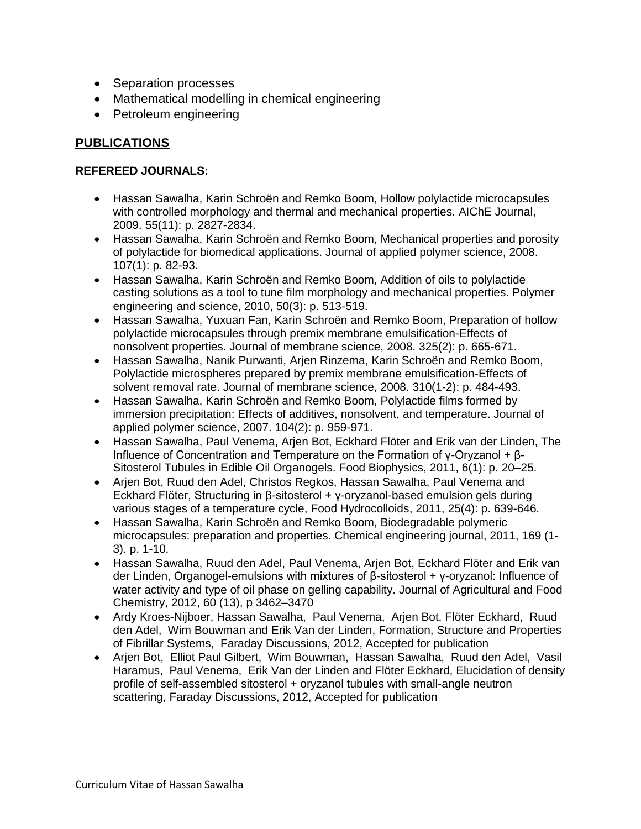- Separation processes
- Mathematical modelling in chemical engineering
- Petroleum engineering

# **PUBLICATIONS**

### **REFEREED JOURNALS:**

- Hassan Sawalha, Karin Schroën and Remko Boom, Hollow polylactide microcapsules with controlled morphology and thermal and mechanical properties. AIChE Journal, 2009. 55(11): p. 2827-2834.
- Hassan Sawalha, Karin Schroën and Remko Boom, Mechanical properties and porosity of polylactide for biomedical applications. Journal of applied polymer science, 2008. 107(1): p. 82-93.
- Hassan Sawalha, Karin Schroën and Remko Boom, Addition of oils to polylactide casting solutions as a tool to tune film morphology and mechanical properties. Polymer engineering and science, 2010, 50(3): p. 513-519.
- Hassan Sawalha, Yuxuan Fan, Karin Schroën and Remko Boom, Preparation of hollow polylactide microcapsules through premix membrane emulsification-Effects of nonsolvent properties. Journal of membrane science, 2008. 325(2): p. 665-671.
- Hassan Sawalha, Nanik Purwanti, Arjen Rinzema, Karin Schroën and Remko Boom, Polylactide microspheres prepared by premix membrane emulsification-Effects of solvent removal rate. Journal of membrane science, 2008. 310(1-2): p. 484-493.
- Hassan Sawalha, Karin Schroën and Remko Boom, Polylactide films formed by immersion precipitation: Effects of additives, nonsolvent, and temperature. Journal of applied polymer science, 2007. 104(2): p. 959-971.
- Hassan Sawalha, Paul Venema, Arjen Bot, Eckhard Flöter and Erik van der Linden, The Influence of Concentration and Temperature on the Formation of γ-Oryzanol + β-Sitosterol Tubules in Edible Oil Organogels. Food Biophysics, 2011, 6(1): p. 20–25.
- Arjen Bot, Ruud den Adel, Christos Regkos, Hassan Sawalha, Paul Venema and Eckhard Flöter, Structuring in β-sitosterol + γ-oryzanol-based emulsion gels during various stages of a temperature cycle, Food Hydrocolloids, 2011, 25(4): p. 639-646.
- Hassan Sawalha, Karin Schroën and Remko Boom, Biodegradable polymeric microcapsules: preparation and properties. Chemical engineering journal, 2011, 169 (1- 3). p. 1-10.
- Hassan Sawalha, Ruud den Adel, Paul Venema, Arjen Bot, Eckhard Flöter and Erik van der Linden, Organogel-emulsions with mixtures of β-sitosterol + γ-oryzanol: Influence of water activity and type of oil phase on gelling capability. Journal of Agricultural and Food Chemistry, 2012, 60 (13), p 3462–3470
- Ardy Kroes-Nijboer, Hassan Sawalha, Paul Venema, Arjen Bot, Flöter Eckhard, Ruud den Adel, Wim Bouwman and Erik Van der Linden, Formation, Structure and Properties of Fibrillar Systems, Faraday Discussions, 2012, Accepted for publication
- Arjen Bot, Elliot Paul Gilbert, Wim Bouwman, Hassan Sawalha, Ruud den Adel, Vasil Haramus, Paul Venema, Erik Van der Linden and Flöter Eckhard, Elucidation of density profile of self-assembled sitosterol + oryzanol tubules with small-angle neutron scattering, Faraday Discussions, 2012, Accepted for publication